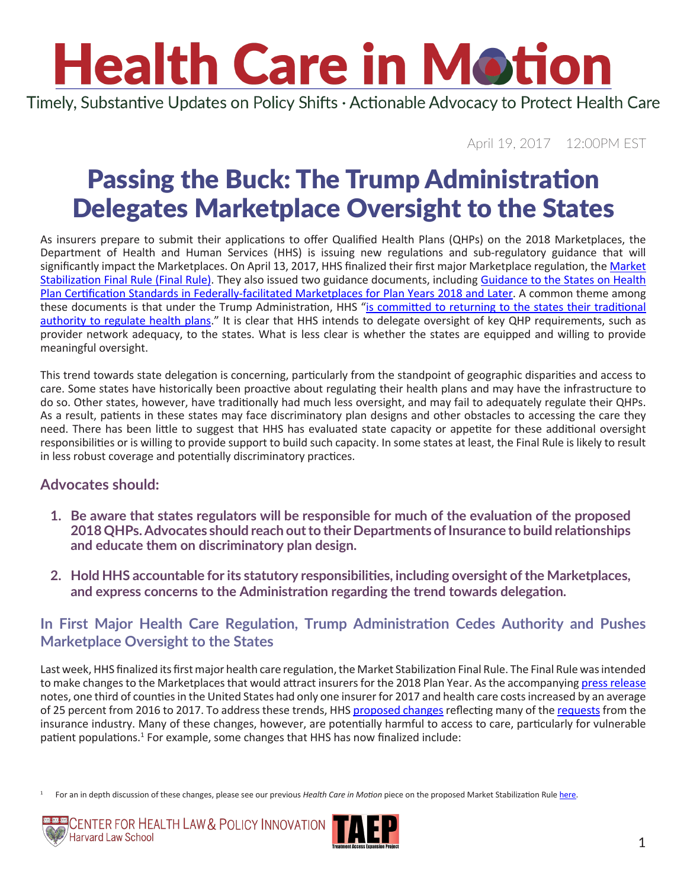# **Health Care in Motion**

Timely, Substantive Updates on Policy Shifts · Actionable Advocacy to Protect Health Care

April 19, 2017 12:00PM EST

### Passing the Buck: The Trump Administration Delegates Marketplace Oversight to the States

As insurers prepare to submit their applications to offer Qualified Health Plans (QHPs) on the 2018 Marketplaces, the Department of Health and Human Services (HHS) is issuing new regulations and sub-regulatory guidance that will significantly impact the Marketplaces. On April 13, 2017, HHS finalized their first major Marketplace regulation, the [Market](https://s3.amazonaws.com/public-inspection.federalregister.gov/2017-07712.pdf) [Stabilization Final Rule](https://s3.amazonaws.com/public-inspection.federalregister.gov/2017-07712.pdf) (Final Rule). They also issued two guidance documents, including [Guidance to the States on Health](https://www.cms.gov/CCIIO/Resources/Regulations-and-Guidance/Downloads/QHP-Certifcation-Reviews-Guidance-41317.pdf)  [Plan Certification Standards in Federally-facilitated Marketplaces for Plan Years 2018 and Later](https://www.cms.gov/CCIIO/Resources/Regulations-and-Guidance/Downloads/QHP-Certifcation-Reviews-Guidance-41317.pdf). A common theme among these documents is that under the Trump Administration, HHS "is committed to returning to the states their traditional [authority to regulate health plans](https://www.cms.gov/CCIIO/Resources/Regulations-and-Guidance/Downloads/QHP-Certifcation-Reviews-Guidance-41317.pdf)." It is clear that HHS intends to delegate oversight of key QHP requirements, such as provider network adequacy, to the states. What is less clear is whether the states are equipped and willing to provide meaningful oversight.

This trend towards state delegation is concerning, particularly from the standpoint of geographic disparities and access to care. Some states have historically been proactive about regulating their health plans and may have the infrastructure to do so. Other states, however, have traditionally had much less oversight, and may fail to adequately regulate their QHPs. As a result, patients in these states may face discriminatory plan designs and other obstacles to accessing the care they need. There has been little to suggest that HHS has evaluated state capacity or appetite for these additional oversight responsibilities or is willing to provide support to build such capacity. In some states at least, the Final Rule is likely to result in less robust coverage and potentially discriminatory practices.

#### **Advocates should:**

- **1. Be aware that states regulators will be responsible for much of the evaluation of the proposed 2018 QHPs. Advocates should reach out to their Departments of Insurance to build relationships and educate them on discriminatory plan design.**
- **2. Hold HHS accountable for its statutory responsibilities, including oversight of the Marketplaces, and express concerns to the Administration regarding the trend towards delegation.**

#### **In First Major Health Care Regulation, Trump Administration Cedes Authority and Pushes Marketplace Oversight to the States**

Last week, HHS finalized its first major health care regulation, the Market Stabilization Final Rule. The Final Rule was intended to make changes to the Marketplaces that would attract insurers for the 2018 Plan Year. As the accompanying [press release](https://www.cms.gov/Newsroom/MediaReleaseDatabase/Press-releases/2017-Press-releases-items/2017-04-13-2.html) notes, one third of counties in the United States had only one insurer for 2017 and health care costs increased by an average of 25 percent from 2016 to 2017. To address these trends, HHS [proposed changes](https://s3.amazonaws.com/public-inspection.federalregister.gov/2017-03027.pdf) reflecting many of the [requests](https://www.google.com/url?sa=t&rct=j&q=&esrc=s&source=web&cd=1&ved=0ahUKEwio3J3Uy6zTAhXH34MKHRqXDOoQFgglMAA&url=https%3A%2F%2Fwww.reginfo.gov%2Fpublic%2Fdo%2FeoDownloadDocument%3FpubId%3D%26eodoc%3Dtrue%26documentID%3D2653&usg=AFQjCNFamiqd0GSwleEXAR7x-FxsyUwi-A&sig2=wLLXp4GOpdOigYUkyJoV6Q) from the insurance industry. Many of these changes, however, are potentially harmful to access to care, particularly for vulnerable patient populations.<sup>1</sup> For example, some changes that HHS has now finalized include:

<sup>1</sup> For an in depth discussion of these changes, please see our previous *Health Care in Motion* piece on the proposed Market Stabilization Rule [here](http://www.chlpi.org/wp-content/uploads/2013/12/Health-Care-in-Motion_02_23_2017.pdf).



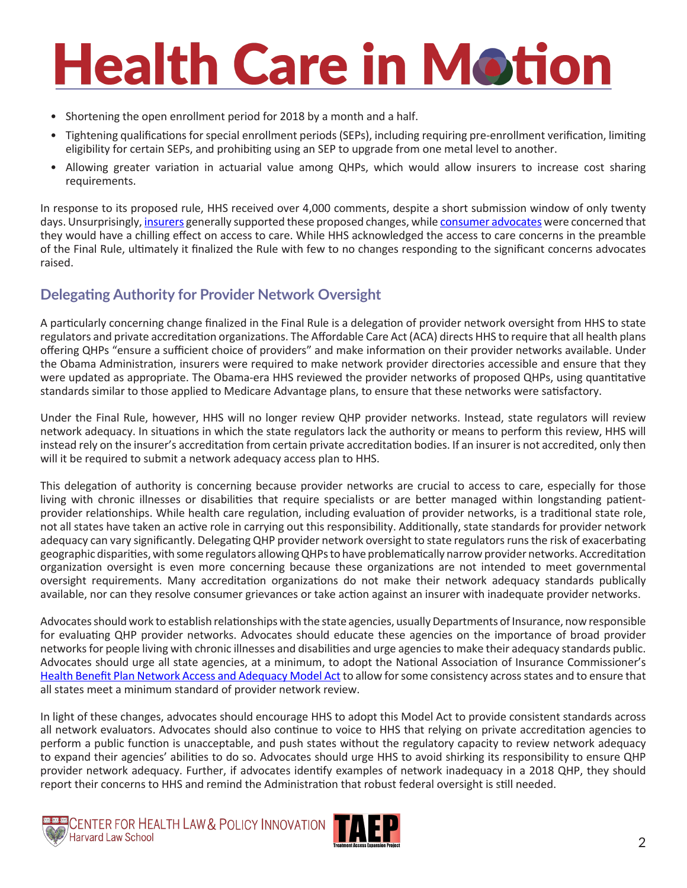## **Health Care in Motion**

- Shortening the open enrollment period for 2018 by a month and a half.
- Tightening qualifications for special enrollment periods (SEPs), including requiring pre-enrollment verification, limiting eligibility for certain SEPs, and prohibiting using an SEP to upgrade from one metal level to another.
- Allowing greater variation in actuarial value among QHPs, which would allow insurers to increase cost sharing requirements.

In response to its proposed rule, HHS received over 4,000 comments, despite a short submission window of only twenty days. Unsurprisingly, [insurers](http://chirblog.org/stakeholders-react-to-hhs-proposed-market-stabilization-regs/) generally supported these proposed changes, while [consumer advocates](http://chirblog.org/stakeholders-react-hhs-proposed-market-stabilization-regulations-part-2-consumer-advocates/) were concerned that they would have a chilling effect on access to care. While HHS acknowledged the access to care concerns in the preamble of the Final Rule, ultimately it finalized the Rule with few to no changes responding to the significant concerns advocates raised.

#### **Delegating Authority for Provider Network Oversight**

A particularly concerning change finalized in the Final Rule is a delegation of provider network oversight from HHS to state regulators and private accreditation organizations. The Affordable Care Act (ACA) directs HHS to require that all health plans offering QHPs "ensure a sufficient choice of providers" and make information on their provider networks available. Under the Obama Administration, insurers were required to make network provider directories accessible and ensure that they were updated as appropriate. The Obama-era HHS reviewed the provider networks of proposed QHPs, using quantitative standards similar to those applied to Medicare Advantage plans, to ensure that these networks were satisfactory.

Under the Final Rule, however, HHS will no longer review QHP provider networks. Instead, state regulators will review network adequacy. In situations in which the state regulators lack the authority or means to perform this review, HHS will instead rely on the insurer's accreditation from certain private accreditation bodies. If an insurer is not accredited, only then will it be required to submit a network adequacy access plan to HHS.

This delegation of authority is concerning because provider networks are crucial to access to care, especially for those living with chronic illnesses or disabilities that require specialists or are better managed within longstanding patientprovider relationships. While health care regulation, including evaluation of provider networks, is a traditional state role, not all states have taken an active role in carrying out this responsibility. Additionally, state standards for provider network adequacy can vary significantly. Delegating QHP provider network oversight to state regulators runs the risk of exacerbating geographic disparities, with some regulators allowing QHPs to have problematically narrow provider networks. Accreditation organization oversight is even more concerning because these organizations are not intended to meet governmental oversight requirements. Many accreditation organizations do not make their network adequacy standards publically available, nor can they resolve consumer grievances or take action against an insurer with inadequate provider networks.

Advocates should work to establish relationships with the state agencies, usually Departments of Insurance, now responsible for evaluating QHP provider networks. Advocates should educate these agencies on the importance of broad provider networks for people living with chronic illnesses and disabilities and urge agencies to make their adequacy standards public. Advocates should urge all state agencies, at a minimum, to adopt the National Association of Insurance Commissioner's [Health Benefit Plan Network Access and Adequacy Model Act](http://www.naic.org/store/free/MDL-74.pdf) to allow for some consistency across states and to ensure that all states meet a minimum standard of provider network review.

In light of these changes, advocates should encourage HHS to adopt this Model Act to provide consistent standards across all network evaluators. Advocates should also continue to voice to HHS that relying on private accreditation agencies to perform a public function is unacceptable, and push states without the regulatory capacity to review network adequacy to expand their agencies' abilities to do so. Advocates should urge HHS to avoid shirking its responsibility to ensure QHP provider network adequacy. Further, if advocates identify examples of network inadequacy in a 2018 QHP, they should report their concerns to HHS and remind the Administration that robust federal oversight is still needed.



CENTER FOR HEALTH LAW & POLICY INNOVATION Harvard Law School